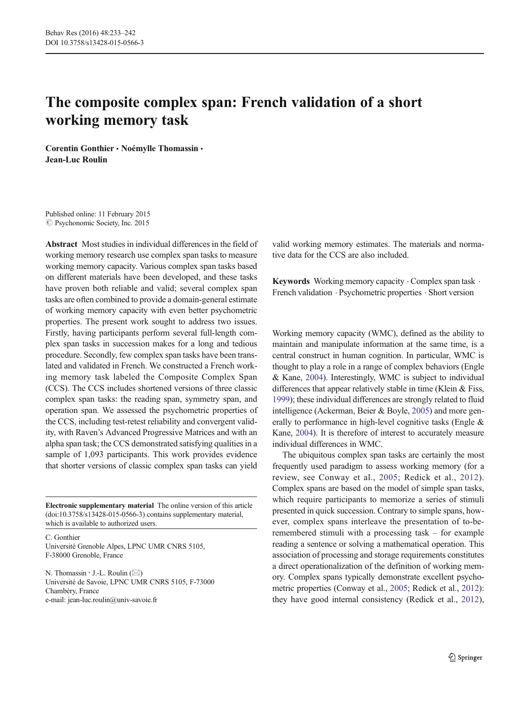# The composite complex span: French validation of a short working memory task

Corentin Gonthier · Noémylle Thomassin · Jean-Luc Roulin

Published online: 11 February 2015  $\oslash$  Psychonomic Society, Inc. 2015

Abstract Most studies in individual differences in the field of working memory research use complex span tasks to measure working memory capacity. Various complex span tasks based on different materials have been developed, and these tasks have proven both reliable and valid; several complex span tasks are often combined to provide a domain-general estimate of working memory capacity with even better psychometric properties. The present work sought to address two issues. Firstly, having participants perform several full-length complex span tasks in succession makes for a long and tedious procedure. Secondly, few complex span tasks have been translated and validated in French. We constructed a French working memory task labeled the Composite Complex Span (CCS). The CCS includes shortened versions of three classic complex span tasks: the reading span, symmetry span, and operation span. We assessed the psychometric properties of the CCS, including test-retest reliability and convergent validity, with Raven's Advanced Progressive Matrices and with an alpha span task; the CCS demonstrated satisfying qualities in a sample of 1,093 participants. This work provides evidence that shorter versions of classic complex span tasks can yield

Electronic supplementary material The online version of this article (doi[:10.3758/s13428-015-0566-3](http://dx.doi.org/10.3758/s13428-015-0566-3)) contains supplementary material, which is available to authorized users.

C. Gonthier Université Grenoble Alpes, LPNC UMR CNRS 5105, F-38000 Grenoble, France

N. Thomassin  $\cdot$  J.-L. Roulin ( $\boxtimes$ ) Université de Savoie, LPNC UMR CNRS 5105, F-73000 Chambéry, France e-mail: jean-luc.roulin@univ-savoie.fr

valid working memory estimates. The materials and normative data for the CCS are also included.

Keywords Working memory capacity  $\cdot$  Complex span task  $\cdot$ French validation . Psychometric properties . Short version

Working memory capacity (WMC), defined as the ability to maintain and manipulate information at the same time, is a central construct in human cognition. In particular, WMC is thought to play a role in a range of complex behaviors (Engle & Kane, [2004](#page-8-0)). Interestingly, WMC is subject to individual differences that appear relatively stable in time (Klein & Fiss, [1999\)](#page-9-0); these individual differences are strongly related to fluid intelligence (Ackerman, Beier & Boyle, [2005\)](#page-8-0) and more generally to performance in high-level cognitive tasks (Engle & Kane, [2004\)](#page-8-0). It is therefore of interest to accurately measure individual differences in WMC.

The ubiquitous complex span tasks are certainly the most frequently used paradigm to assess working memory (for a review, see Conway et al., [2005](#page-8-0); Redick et al., [2012](#page-9-0)). Complex spans are based on the model of simple span tasks, which require participants to memorize a series of stimuli presented in quick succession. Contrary to simple spans, however, complex spans interleave the presentation of to-beremembered stimuli with a processing task – for example reading a sentence or solving a mathematical operation. This association of processing and storage requirements constitutes a direct operationalization of the definition of working memory. Complex spans typically demonstrate excellent psychometric properties (Conway et al., [2005](#page-8-0); Redick et al., [2012](#page-9-0)): they have good internal consistency (Redick et al., [2012\)](#page-9-0),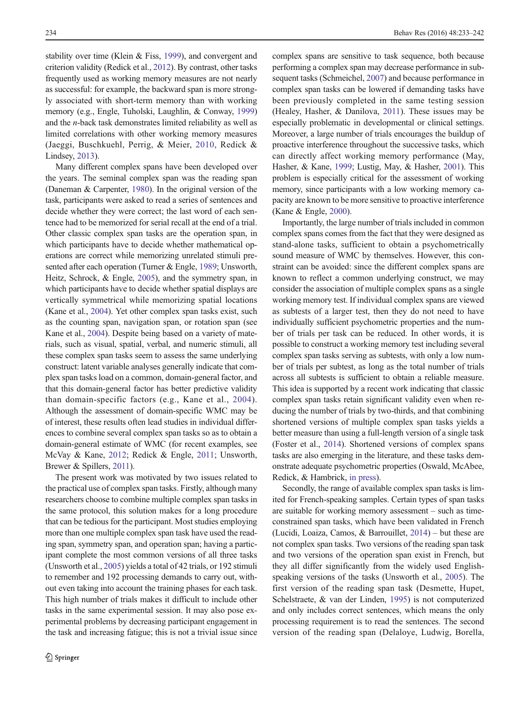stability over time (Klein & Fiss, [1999\)](#page-9-0), and convergent and criterion validity (Redick et al., [2012\)](#page-9-0). By contrast, other tasks frequently used as working memory measures are not nearly as successful: for example, the backward span is more strongly associated with short-term memory than with working memory (e.g., Engle, Tuholski, Laughlin, & Conway, [1999\)](#page-8-0) and the n-back task demonstrates limited reliability as well as limited correlations with other working memory measures (Jaeggi, Buschkuehl, Perrig, & Meier, [2010,](#page-8-0) Redick & Lindsey, [2013](#page-9-0)).

Many different complex spans have been developed over the years. The seminal complex span was the reading span (Daneman & Carpenter, [1980\)](#page-8-0). In the original version of the task, participants were asked to read a series of sentences and decide whether they were correct; the last word of each sentence had to be memorized for serial recall at the end of a trial. Other classic complex span tasks are the operation span, in which participants have to decide whether mathematical operations are correct while memorizing unrelated stimuli presented after each operation (Turner & Engle, [1989;](#page-9-0) Unsworth, Heitz, Schrock, & Engle, [2005](#page-9-0)), and the symmetry span, in which participants have to decide whether spatial displays are vertically symmetrical while memorizing spatial locations (Kane et al., [2004](#page-9-0)). Yet other complex span tasks exist, such as the counting span, navigation span, or rotation span (see Kane et al., [2004\)](#page-9-0). Despite being based on a variety of materials, such as visual, spatial, verbal, and numeric stimuli, all these complex span tasks seem to assess the same underlying construct: latent variable analyses generally indicate that complex span tasks load on a common, domain-general factor, and that this domain-general factor has better predictive validity than domain-specific factors (e.g., Kane et al., [2004](#page-9-0)). Although the assessment of domain-specific WMC may be of interest, these results often lead studies in individual differences to combine several complex span tasks so as to obtain a domain-general estimate of WMC (for recent examples, see McVay & Kane, [2012](#page-9-0); Redick & Engle, [2011](#page-9-0); Unsworth, Brewer & Spillers, [2011\)](#page-9-0).

The present work was motivated by two issues related to the practical use of complex span tasks. Firstly, although many researchers choose to combine multiple complex span tasks in the same protocol, this solution makes for a long procedure that can be tedious for the participant. Most studies employing more than one multiple complex span task have used the reading span, symmetry span, and operation span; having a participant complete the most common versions of all three tasks (Unsworth et al., [2005](#page-9-0)) yields a total of 42 trials, or 192 stimuli to remember and 192 processing demands to carry out, without even taking into account the training phases for each task. This high number of trials makes it difficult to include other tasks in the same experimental session. It may also pose experimental problems by decreasing participant engagement in the task and increasing fatigue; this is not a trivial issue since complex spans are sensitive to task sequence, both because performing a complex span may decrease performance in subsequent tasks (Schmeichel, [2007\)](#page-9-0) and because performance in complex span tasks can be lowered if demanding tasks have been previously completed in the same testing session (Healey, Hasher, & Danilova, [2011](#page-8-0)). These issues may be especially problematic in developmental or clinical settings. Moreover, a large number of trials encourages the buildup of proactive interference throughout the successive tasks, which can directly affect working memory performance (May, Hasher, & Kane, [1999;](#page-9-0) Lustig, May, & Hasher, [2001](#page-9-0)). This problem is especially critical for the assessment of working memory, since participants with a low working memory capacity are known to be more sensitive to proactive interference (Kane & Engle, [2000\)](#page-8-0).

Importantly, the large number of trials included in common complex spans comes from the fact that they were designed as stand-alone tasks, sufficient to obtain a psychometrically sound measure of WMC by themselves. However, this constraint can be avoided: since the different complex spans are known to reflect a common underlying construct, we may consider the association of multiple complex spans as a single working memory test. If individual complex spans are viewed as subtests of a larger test, then they do not need to have individually sufficient psychometric properties and the number of trials per task can be reduced. In other words, it is possible to construct a working memory test including several complex span tasks serving as subtests, with only a low number of trials per subtest, as long as the total number of trials across all subtests is sufficient to obtain a reliable measure. This idea is supported by a recent work indicating that classic complex span tasks retain significant validity even when reducing the number of trials by two-thirds, and that combining shortened versions of multiple complex span tasks yields a better measure than using a full-length version of a single task (Foster et al., [2014\)](#page-8-0). Shortened versions of complex spans tasks are also emerging in the literature, and these tasks demonstrate adequate psychometric properties (Oswald, McAbee, Redick, & Hambrick, [in press\)](#page-9-0).

Secondly, the range of available complex span tasks is limited for French-speaking samples. Certain types of span tasks are suitable for working memory assessment – such as timeconstrained span tasks, which have been validated in French (Lucidi, Loaiza, Camos, & Barrouillet, [2014\)](#page-9-0) – but these are not complex span tasks. Two versions of the reading span task and two versions of the operation span exist in French, but they all differ significantly from the widely used Englishspeaking versions of the tasks (Unsworth et al., [2005\)](#page-9-0). The first version of the reading span task (Desmette, Hupet, Schelstraete, & van der Linden, [1995\)](#page-8-0) is not computerized and only includes correct sentences, which means the only processing requirement is to read the sentences. The second version of the reading span (Delaloye, Ludwig, Borella,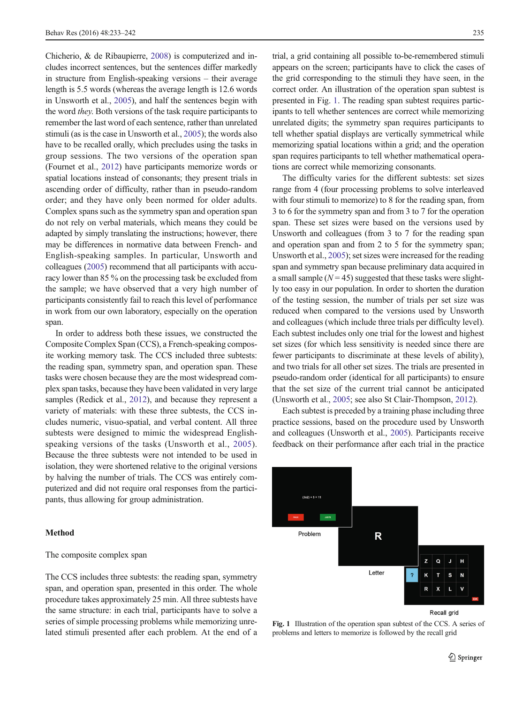Chicherio, & de Ribaupierre, [2008](#page-8-0)) is computerized and includes incorrect sentences, but the sentences differ markedly in structure from English-speaking versions – their average length is 5.5 words (whereas the average length is 12.6 words in Unsworth et al., [2005\)](#page-9-0), and half the sentences begin with the word they. Both versions of the task require participants to remember the last word of each sentence, rather than unrelated stimuli (as is the case in Unsworth et al., [2005](#page-9-0)); the words also have to be recalled orally, which precludes using the tasks in group sessions. The two versions of the operation span (Fournet et al., [2012\)](#page-8-0) have participants memorize words or spatial locations instead of consonants; they present trials in ascending order of difficulty, rather than in pseudo-random order; and they have only been normed for older adults. Complex spans such as the symmetry span and operation span do not rely on verbal materials, which means they could be adapted by simply translating the instructions; however, there may be differences in normative data between French- and English-speaking samples. In particular, Unsworth and colleagues ([2005](#page-9-0)) recommend that all participants with accuracy lower than 85 % on the processing task be excluded from the sample; we have observed that a very high number of participants consistently fail to reach this level of performance in work from our own laboratory, especially on the operation span.

In order to address both these issues, we constructed the Composite Complex Span (CCS), a French-speaking composite working memory task. The CCS included three subtests: the reading span, symmetry span, and operation span. These tasks were chosen because they are the most widespread complex span tasks, because they have been validated in very large samples (Redick et al., [2012](#page-9-0)), and because they represent a variety of materials: with these three subtests, the CCS includes numeric, visuo-spatial, and verbal content. All three subtests were designed to mimic the widespread Englishspeaking versions of the tasks (Unsworth et al., [2005](#page-9-0)). Because the three subtests were not intended to be used in isolation, they were shortened relative to the original versions by halving the number of trials. The CCS was entirely computerized and did not require oral responses from the participants, thus allowing for group administration.

## Method

#### The composite complex span

The CCS includes three subtests: the reading span, symmetry span, and operation span, presented in this order. The whole procedure takes approximately 25 min. All three subtests have the same structure: in each trial, participants have to solve a series of simple processing problems while memorizing unrelated stimuli presented after each problem. At the end of a trial, a grid containing all possible to-be-remembered stimuli appears on the screen; participants have to click the cases of the grid corresponding to the stimuli they have seen, in the correct order. An illustration of the operation span subtest is presented in Fig. 1. The reading span subtest requires participants to tell whether sentences are correct while memorizing unrelated digits; the symmetry span requires participants to tell whether spatial displays are vertically symmetrical while memorizing spatial locations within a grid; and the operation span requires participants to tell whether mathematical operations are correct while memorizing consonants.

The difficulty varies for the different subtests: set sizes range from 4 (four processing problems to solve interleaved with four stimuli to memorize) to 8 for the reading span, from 3 to 6 for the symmetry span and from 3 to 7 for the operation span. These set sizes were based on the versions used by Unsworth and colleagues (from 3 to 7 for the reading span and operation span and from 2 to 5 for the symmetry span; Unsworth et al., [2005](#page-9-0)); set sizes were increased for the reading span and symmetry span because preliminary data acquired in a small sample  $(N = 45)$  suggested that these tasks were slightly too easy in our population. In order to shorten the duration of the testing session, the number of trials per set size was reduced when compared to the versions used by Unsworth and colleagues (which include three trials per difficulty level). Each subtest includes only one trial for the lowest and highest set sizes (for which less sensitivity is needed since there are fewer participants to discriminate at these levels of ability), and two trials for all other set sizes. The trials are presented in pseudo-random order (identical for all participants) to ensure that the set size of the current trial cannot be anticipated (Unsworth et al., [2005;](#page-9-0) see also St Clair-Thompson, [2012](#page-9-0)).

Each subtest is preceded by a training phase including three practice sessions, based on the procedure used by Unsworth and colleagues (Unsworth et al., [2005](#page-9-0)). Participants receive feedback on their performance after each trial in the practice



Fig. 1 Illustration of the operation span subtest of the CCS. A series of problems and letters to memorize is followed by the recall grid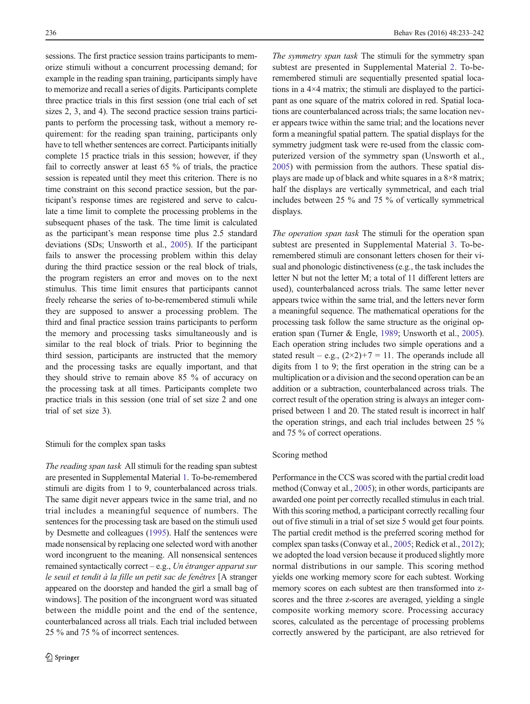sessions. The first practice session trains participants to memorize stimuli without a concurrent processing demand; for example in the reading span training, participants simply have to memorize and recall a series of digits. Participants complete three practice trials in this first session (one trial each of set sizes 2, 3, and 4). The second practice session trains participants to perform the processing task, without a memory requirement: for the reading span training, participants only have to tell whether sentences are correct. Participants initially complete 15 practice trials in this session; however, if they fail to correctly answer at least 65 % of trials, the practice session is repeated until they meet this criterion. There is no time constraint on this second practice session, but the participant's response times are registered and serve to calculate a time limit to complete the processing problems in the subsequent phases of the task. The time limit is calculated as the participant's mean response time plus 2.5 standard deviations (SDs; Unsworth et al., [2005](#page-9-0)). If the participant fails to answer the processing problem within this delay during the third practice session or the real block of trials, the program registers an error and moves on to the next stimulus. This time limit ensures that participants cannot freely rehearse the series of to-be-remembered stimuli while they are supposed to answer a processing problem. The third and final practice session trains participants to perform the memory and processing tasks simultaneously and is similar to the real block of trials. Prior to beginning the third session, participants are instructed that the memory and the processing tasks are equally important, and that they should strive to remain above 85 % of accuracy on the processing task at all times. Participants complete two practice trials in this session (one trial of set size 2 and one trial of set size 3).

### Stimuli for the complex span tasks

The reading span task All stimuli for the reading span subtest are presented in Supplemental Material 1. To-be-remembered stimuli are digits from 1 to 9, counterbalanced across trials. The same digit never appears twice in the same trial, and no trial includes a meaningful sequence of numbers. The sentences for the processing task are based on the stimuli used by Desmette and colleagues [\(1995\)](#page-8-0). Half the sentences were made nonsensical by replacing one selected word with another word incongruent to the meaning. All nonsensical sentences remained syntactically correct – e.g., Un étranger apparut sur le seuil et tendit à la fille un petit sac de fenêtres [A stranger appeared on the doorstep and handed the girl a small bag of windows]. The position of the incongruent word was situated between the middle point and the end of the sentence, counterbalanced across all trials. Each trial included between 25 % and 75 % of incorrect sentences.

The symmetry span task The stimuli for the symmetry span subtest are presented in Supplemental Material 2. To-beremembered stimuli are sequentially presented spatial locations in a 4×4 matrix; the stimuli are displayed to the participant as one square of the matrix colored in red. Spatial locations are counterbalanced across trials; the same location never appears twice within the same trial; and the locations never form a meaningful spatial pattern. The spatial displays for the symmetry judgment task were re-used from the classic computerized version of the symmetry span (Unsworth et al., [2005\)](#page-9-0) with permission from the authors. These spatial displays are made up of black and white squares in a 8×8 matrix; half the displays are vertically symmetrical, and each trial includes between 25 % and 75 % of vertically symmetrical displays.

The operation span task The stimuli for the operation span subtest are presented in Supplemental Material 3. To-beremembered stimuli are consonant letters chosen for their visual and phonologic distinctiveness (e.g., the task includes the letter N but not the letter M; a total of 11 different letters are used), counterbalanced across trials. The same letter never appears twice within the same trial, and the letters never form a meaningful sequence. The mathematical operations for the processing task follow the same structure as the original operation span (Turner & Engle, [1989](#page-9-0); Unsworth et al., [2005\)](#page-9-0). Each operation string includes two simple operations and a stated result – e.g.,  $(2\times2)+7=11$ . The operands include all digits from 1 to 9; the first operation in the string can be a multiplication or a division and the second operation can be an addition or a subtraction, counterbalanced across trials. The correct result of the operation string is always an integer comprised between 1 and 20. The stated result is incorrect in half the operation strings, and each trial includes between 25 % and 75 % of correct operations.

#### Scoring method

Performance in the CCS was scored with the partial credit load method (Conway et al., [2005\)](#page-8-0); in other words, participants are awarded one point per correctly recalled stimulus in each trial. With this scoring method, a participant correctly recalling four out of five stimuli in a trial of set size 5 would get four points. The partial credit method is the preferred scoring method for complex span tasks (Conway et al., [2005](#page-8-0); Redick et al., [2012](#page-9-0)); we adopted the load version because it produced slightly more normal distributions in our sample. This scoring method yields one working memory score for each subtest. Working memory scores on each subtest are then transformed into zscores and the three z-scores are averaged, yielding a single composite working memory score. Processing accuracy scores, calculated as the percentage of processing problems correctly answered by the participant, are also retrieved for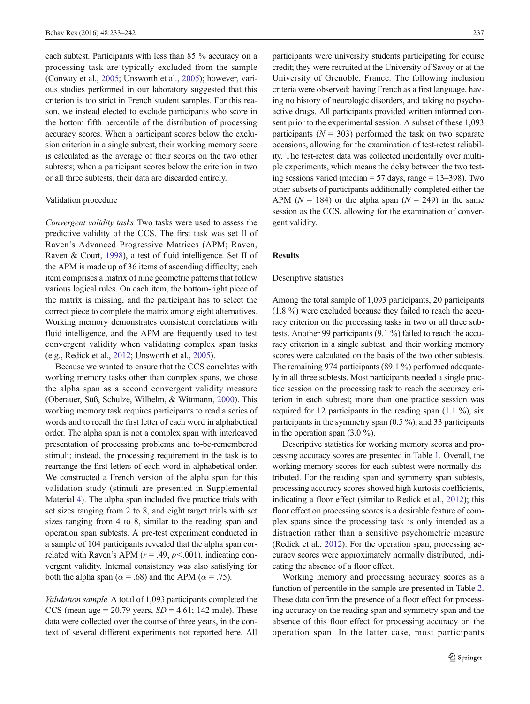each subtest. Participants with less than 85 % accuracy on a processing task are typically excluded from the sample (Conway et al., [2005](#page-8-0); Unsworth et al., [2005](#page-9-0)); however, various studies performed in our laboratory suggested that this criterion is too strict in French student samples. For this reason, we instead elected to exclude participants who score in the bottom fifth percentile of the distribution of processing accuracy scores. When a participant scores below the exclusion criterion in a single subtest, their working memory score is calculated as the average of their scores on the two other subtests; when a participant scores below the criterion in two or all three subtests, their data are discarded entirely.

### Validation procedure

Convergent validity tasks Two tasks were used to assess the predictive validity of the CCS. The first task was set II of Raven's Advanced Progressive Matrices (APM; Raven, Raven & Court, [1998](#page-9-0)), a test of fluid intelligence. Set II of the APM is made up of 36 items of ascending difficulty; each item comprises a matrix of nine geometric patterns that follow various logical rules. On each item, the bottom-right piece of the matrix is missing, and the participant has to select the correct piece to complete the matrix among eight alternatives. Working memory demonstrates consistent correlations with fluid intelligence, and the APM are frequently used to test convergent validity when validating complex span tasks (e.g., Redick et al., [2012;](#page-9-0) Unsworth et al., [2005\)](#page-9-0).

Because we wanted to ensure that the CCS correlates with working memory tasks other than complex spans, we chose the alpha span as a second convergent validity measure (Oberauer, Süß, Schulze, Wilhelm, & Wittmann, [2000\)](#page-9-0). This working memory task requires participants to read a series of words and to recall the first letter of each word in alphabetical order. The alpha span is not a complex span with interleaved presentation of processing problems and to-be-remembered stimuli; instead, the processing requirement in the task is to rearrange the first letters of each word in alphabetical order. We constructed a French version of the alpha span for this validation study (stimuli are presented in Supplemental Material 4). The alpha span included five practice trials with set sizes ranging from 2 to 8, and eight target trials with set sizes ranging from 4 to 8, similar to the reading span and operation span subtests. A pre-test experiment conducted in a sample of 104 participants revealed that the alpha span correlated with Raven's APM ( $r = .49, p < .001$ ), indicating convergent validity. Internal consistency was also satisfying for both the alpha span ( $\alpha$  = .68) and the APM ( $\alpha$  = .75).

Validation sample A total of 1,093 participants completed the CCS (mean age = 20.79 years,  $SD = 4.61$ ; 142 male). These data were collected over the course of three years, in the context of several different experiments not reported here. All participants were university students participating for course credit; they were recruited at the University of Savoy or at the University of Grenoble, France. The following inclusion criteria were observed: having French as a first language, having no history of neurologic disorders, and taking no psychoactive drugs. All participants provided written informed consent prior to the experimental session. A subset of these 1,093 participants ( $N = 303$ ) performed the task on two separate occasions, allowing for the examination of test-retest reliability. The test-retest data was collected incidentally over multiple experiments, which means the delay between the two testing sessions varied (median  $= 57$  days, range  $= 13 - 398$ ). Two other subsets of participants additionally completed either the APM ( $N = 184$ ) or the alpha span ( $N = 249$ ) in the same session as the CCS, allowing for the examination of convergent validity.

#### Results

#### Descriptive statistics

Among the total sample of 1,093 participants, 20 participants (1.8 %) were excluded because they failed to reach the accuracy criterion on the processing tasks in two or all three subtests. Another 99 participants (9.1 %) failed to reach the accuracy criterion in a single subtest, and their working memory scores were calculated on the basis of the two other subtests. The remaining 974 participants (89.1 %) performed adequately in all three subtests. Most participants needed a single practice session on the processing task to reach the accuracy criterion in each subtest; more than one practice session was required for 12 participants in the reading span  $(1.1 \%)$ , six participants in the symmetry span (0.5 %), and 33 participants in the operation span  $(3.0\%)$ .

Descriptive statistics for working memory scores and processing accuracy scores are presented in Table [1.](#page-5-0) Overall, the working memory scores for each subtest were normally distributed. For the reading span and symmetry span subtests, processing accuracy scores showed high kurtosis coefficients, indicating a floor effect (similar to Redick et al., [2012](#page-9-0)); this floor effect on processing scores is a desirable feature of complex spans since the processing task is only intended as a distraction rather than a sensitive psychometric measure (Redick et al., [2012](#page-9-0)). For the operation span, processing accuracy scores were approximately normally distributed, indicating the absence of a floor effect.

Working memory and processing accuracy scores as a function of percentile in the sample are presented in Table [2.](#page-5-0) These data confirm the presence of a floor effect for processing accuracy on the reading span and symmetry span and the absence of this floor effect for processing accuracy on the operation span. In the latter case, most participants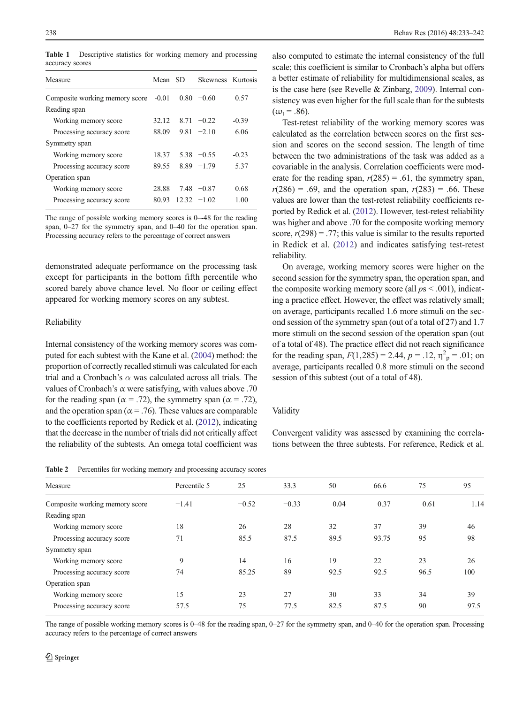| Measure                        | Mean SD |      | Skewness Kurtosis |         |
|--------------------------------|---------|------|-------------------|---------|
| Composite working memory score | $-0.01$ | 0.80 | $-0.60$           | 0.57    |
| Reading span                   |         |      |                   |         |
| Working memory score           | 32.12   | 8.71 | $-0.22$           | $-0.39$ |
| Processing accuracy score      | 88.09   |      | $9.81 - 2.10$     | 6.06    |
| Symmetry span                  |         |      |                   |         |
| Working memory score           | 18.37   |      | $5.38 - 0.55$     | $-0.23$ |
| Processing accuracy score      | 89.55   |      | $8.89 - 1.79$     | 5.37    |
| Operation span                 |         |      |                   |         |
| Working memory score           | 28.88   |      | $7.48 - 0.87$     | 0.68    |
| Processing accuracy score      | 80.93   |      | $12.32 - 1.02$    | 1.00    |

<span id="page-5-0"></span>Table 1 Descriptive statistics for working memory and processing accuracy scores

The range of possible working memory scores is 0–-48 for the reading span, 0–27 for the symmetry span, and 0–40 for the operation span. Processing accuracy refers to the percentage of correct answers

demonstrated adequate performance on the processing task except for participants in the bottom fifth percentile who scored barely above chance level. No floor or ceiling effect appeared for working memory scores on any subtest.

#### Reliability

Internal consistency of the working memory scores was computed for each subtest with the Kane et al. [\(2004\)](#page-9-0) method: the proportion of correctly recalled stimuli was calculated for each trial and a Cronbach's  $\alpha$  was calculated across all trials. The values of Cronbach's  $\alpha$  were satisfying, with values above .70 for the reading span ( $\alpha$  = .72), the symmetry span ( $\alpha$  = .72), and the operation span ( $\alpha$  = .76). These values are comparable to the coefficients reported by Redick et al. [\(2012\)](#page-9-0), indicating that the decrease in the number of trials did not critically affect the reliability of the subtests. An omega total coefficient was

| Table 2 |  |  | Percentiles for working memory and processing accuracy scores |
|---------|--|--|---------------------------------------------------------------|
|         |  |  |                                                               |
|         |  |  |                                                               |

also computed to estimate the internal consistency of the full scale; this coefficient is similar to Cronbach's alpha but offers a better estimate of reliability for multidimensional scales, as is the case here (see Revelle & Zinbarg, [2009\)](#page-9-0). Internal consistency was even higher for the full scale than for the subtests  $(\omega_{t} = .86)$ .

Test-retest reliability of the working memory scores was calculated as the correlation between scores on the first session and scores on the second session. The length of time between the two administrations of the task was added as a covariable in the analysis. Correlation coefficients were moderate for the reading span,  $r(285) = .61$ , the symmetry span,  $r(286) = .69$ , and the operation span,  $r(283) = .66$ . These values are lower than the test-retest reliability coefficients reported by Redick et al. ([2012](#page-9-0)). However, test-retest reliability was higher and above .70 for the composite working memory score,  $r(298) = .77$ ; this value is similar to the results reported in Redick et al. ([2012](#page-9-0)) and indicates satisfying test-retest reliability.

On average, working memory scores were higher on the second session for the symmetry span, the operation span, and the composite working memory score (all  $ps < .001$ ), indicating a practice effect. However, the effect was relatively small; on average, participants recalled 1.6 more stimuli on the second session of the symmetry span (out of a total of 27) and 1.7 more stimuli on the second session of the operation span (out of a total of 48). The practice effect did not reach significance for the reading span,  $F(1,285) = 2.44$ ,  $p = .12$ ,  $\eta_p^2 = .01$ ; on average, participants recalled 0.8 more stimuli on the second session of this subtest (out of a total of 48).

#### Validity

Convergent validity was assessed by examining the correlations between the three subtests. For reference, Redick et al.

| Measure                        | Percentile 5 | 25      | 33.3    | 50   | 66.6  | 75   | 95   |
|--------------------------------|--------------|---------|---------|------|-------|------|------|
| Composite working memory score | $-1.41$      | $-0.52$ | $-0.33$ | 0.04 | 0.37  | 0.61 | 1.14 |
| Reading span                   |              |         |         |      |       |      |      |
| Working memory score           | 18           | 26      | 28      | 32   | 37    | 39   | 46   |
| Processing accuracy score      | 71           | 85.5    | 87.5    | 89.5 | 93.75 | 95   | 98   |
| Symmetry span                  |              |         |         |      |       |      |      |
| Working memory score           | 9            | 14      | 16      | 19   | 22    | 23   | 26   |
| Processing accuracy score      | 74           | 85.25   | 89      | 92.5 | 92.5  | 96.5 | 100  |
| Operation span                 |              |         |         |      |       |      |      |
| Working memory score           | 15           | 23      | 27      | 30   | 33    | 34   | 39   |
| Processing accuracy score      | 57.5         | 75      | 77.5    | 82.5 | 87.5  | 90   | 97.5 |

The range of possible working memory scores is 0–48 for the reading span, 0–27 for the symmetry span, and 0–40 for the operation span. Processing accuracy refers to the percentage of correct answers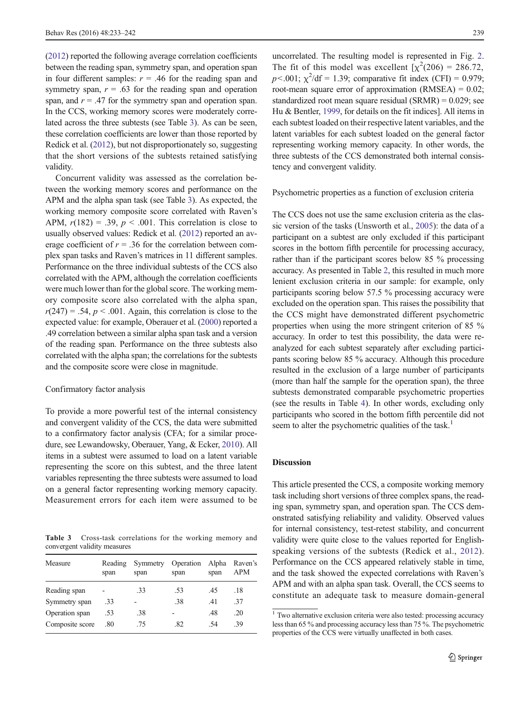<span id="page-6-0"></span>[\(2012\)](#page-9-0) reported the following average correlation coefficients between the reading span, symmetry span, and operation span in four different samples:  $r = .46$  for the reading span and symmetry span,  $r = .63$  for the reading span and operation span, and  $r = .47$  for the symmetry span and operation span. In the CCS, working memory scores were moderately correlated across the three subtests (see Table 3). As can be seen, these correlation coefficients are lower than those reported by Redick et al. ([2012](#page-9-0)), but not disproportionately so, suggesting that the short versions of the subtests retained satisfying validity.

Concurrent validity was assessed as the correlation between the working memory scores and performance on the APM and the alpha span task (see Table 3). As expected, the working memory composite score correlated with Raven's APM,  $r(182) = .39$ ,  $p < .001$ . This correlation is close to usually observed values: Redick et al. ([2012](#page-9-0)) reported an average coefficient of  $r = .36$  for the correlation between complex span tasks and Raven's matrices in 11 different samples. Performance on the three individual subtests of the CCS also correlated with the APM, although the correlation coefficients were much lower than for the global score. The working memory composite score also correlated with the alpha span,  $r(247) = .54$ ,  $p < .001$ . Again, this correlation is close to the expected value: for example, Oberauer et al. ([2000](#page-9-0)) reported a .49 correlation between a similar alpha span task and a version of the reading span. Performance on the three subtests also correlated with the alpha span; the correlations for the subtests and the composite score were close in magnitude.

#### Confirmatory factor analysis

To provide a more powerful test of the internal consistency and convergent validity of the CCS, the data were submitted to a confirmatory factor analysis (CFA; for a similar procedure, see Lewandowsky, Oberauer, Yang, & Ecker, [2010](#page-9-0)). All items in a subtest were assumed to load on a latent variable representing the score on this subtest, and the three latent variables representing the three subtests were assumed to load on a general factor representing working memory capacity. Measurement errors for each item were assumed to be

Table 3 Cross-task correlations for the working memory and convergent validity measures

| Measure         | Reading<br>span | Symmetry<br>span | Operation<br>span | Alpha<br>span | Raven's<br>APM |
|-----------------|-----------------|------------------|-------------------|---------------|----------------|
| Reading span    |                 | .33              | .53               | .45           | .18            |
| Symmetry span   | .33             |                  | .38               | .41           | .37            |
| Operation span  | .53             | .38              |                   | .48           | .20            |
| Composite score | .80             | .75              | .82               | -54           | .39            |

uncorrelated. The resulting model is represented in Fig. [2.](#page-7-0) The fit of this model was excellent  $[\chi^2(206) = 286.72]$ ,  $p<.001$ ;  $\chi^2$ /df = 1.39; comparative fit index (CFI) = 0.979; root-mean square error of approximation  $(RMSEA) = 0.02$ ; standardized root mean square residual (SRMR) = 0.029; see Hu & Bentler, [1999](#page-8-0), for details on the fit indices]. All items in each subtest loaded on their respective latent variables, and the latent variables for each subtest loaded on the general factor representing working memory capacity. In other words, the three subtests of the CCS demonstrated both internal consistency and convergent validity.

#### Psychometric properties as a function of exclusion criteria

The CCS does not use the same exclusion criteria as the classic version of the tasks (Unsworth et al., [2005\)](#page-9-0): the data of a participant on a subtest are only excluded if this participant scores in the bottom fifth percentile for processing accuracy, rather than if the participant scores below 85 % processing accuracy. As presented in Table [2](#page-5-0), this resulted in much more lenient exclusion criteria in our sample: for example, only participants scoring below 57.5 % processing accuracy were excluded on the operation span. This raises the possibility that the CCS might have demonstrated different psychometric properties when using the more stringent criterion of 85 % accuracy. In order to test this possibility, the data were reanalyzed for each subtest separately after excluding participants scoring below 85 % accuracy. Although this procedure resulted in the exclusion of a large number of participants (more than half the sample for the operation span), the three subtests demonstrated comparable psychometric properties (see the results in Table [4\)](#page-7-0). In other words, excluding only participants who scored in the bottom fifth percentile did not seem to alter the psychometric qualities of the task.<sup>1</sup>

# Discussion

This article presented the CCS, a composite working memory task including short versions of three complex spans, the reading span, symmetry span, and operation span. The CCS demonstrated satisfying reliability and validity. Observed values for internal consistency, test-retest stability, and concurrent validity were quite close to the values reported for Englishspeaking versions of the subtests (Redick et al., [2012](#page-9-0)). Performance on the CCS appeared relatively stable in time, and the task showed the expected correlations with Raven's APM and with an alpha span task. Overall, the CCS seems to constitute an adequate task to measure domain-general

<sup>&</sup>lt;sup>1</sup> Two alternative exclusion criteria were also tested: processing accuracy less than 65 % and processing accuracy less than 75 %. The psychometric properties of the CCS were virtually unaffected in both cases.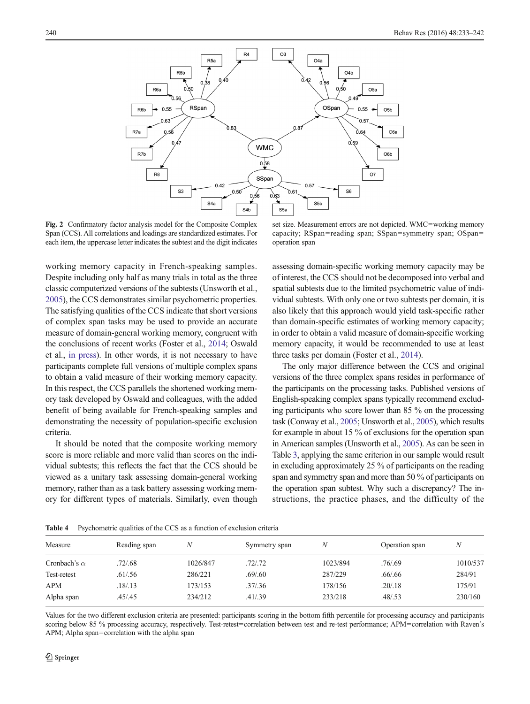<span id="page-7-0"></span>

Fig. 2 Confirmatory factor analysis model for the Composite Complex Span (CCS). All correlations and loadings are standardized estimates. For each item, the uppercase letter indicates the subtest and the digit indicates

set size. Measurement errors are not depicted. WMC=working memory capacity; RSpan= reading span; SSpan=symmetry span; OSpan= operation span

working memory capacity in French-speaking samples. Despite including only half as many trials in total as the three classic computerized versions of the subtests (Unsworth et al., [2005\)](#page-9-0), the CCS demonstrates similar psychometric properties. The satisfying qualities of the CCS indicate that short versions of complex span tasks may be used to provide an accurate measure of domain-general working memory, congruent with the conclusions of recent works (Foster et al., [2014;](#page-8-0) Oswald et al., [in press](#page-9-0)). In other words, it is not necessary to have participants complete full versions of multiple complex spans to obtain a valid measure of their working memory capacity. In this respect, the CCS parallels the shortened working memory task developed by Oswald and colleagues, with the added benefit of being available for French-speaking samples and demonstrating the necessity of population-specific exclusion criteria.

It should be noted that the composite working memory score is more reliable and more valid than scores on the individual subtests; this reflects the fact that the CCS should be viewed as a unitary task assessing domain-general working memory, rather than as a task battery assessing working memory for different types of materials. Similarly, even though

assessing domain-specific working memory capacity may be of interest, the CCS should not be decomposed into verbal and spatial subtests due to the limited psychometric value of individual subtests. With only one or two subtests per domain, it is also likely that this approach would yield task-specific rather than domain-specific estimates of working memory capacity; in order to obtain a valid measure of domain-specific working memory capacity, it would be recommended to use at least three tasks per domain (Foster et al., [2014](#page-8-0)).

The only major difference between the CCS and original versions of the three complex spans resides in performance of the participants on the processing tasks. Published versions of English-speaking complex spans typically recommend excluding participants who score lower than 85 % on the processing task (Conway et al., [2005;](#page-8-0) Unsworth et al., [2005](#page-9-0)), which results for example in about 15 % of exclusions for the operation span in American samples (Unsworth et al., [2005](#page-9-0)). As can be seen in Table [3](#page-6-0), applying the same criterion in our sample would result in excluding approximately 25 % of participants on the reading span and symmetry span and more than 50 % of participants on the operation span subtest. Why such a discrepancy? The instructions, the practice phases, and the difficulty of the

| Measure             | Reading span |          | Symmetry span | N        | Operation span | Ν        |
|---------------------|--------------|----------|---------------|----------|----------------|----------|
| Cronbach's $\alpha$ | .72/.68      | 1026/847 | .72/.72       | 1023/894 | .76/.69        | 1010/537 |
| Test-retest         | .61/0.56     | 286/221  | .69/.60       | 287/229  | .66/.66        | 284/91   |
| <b>APM</b>          | .18/.13      | 173/153  | .37/0.36      | 178/156  | .20/0.18       | 175/91   |
| Alpha span          | .45/.45      | 234/212  | .41/.39       | 233/218  | .48/0.53       | 230/160  |

Values for the two different exclusion criteria are presented: participants scoring in the bottom fifth percentile for processing accuracy and participants scoring below 85 % processing accuracy, respectively. Test-retest=correlation between test and re-test performance; APM=correlation with Raven's APM; Alpha span=correlation with the alpha span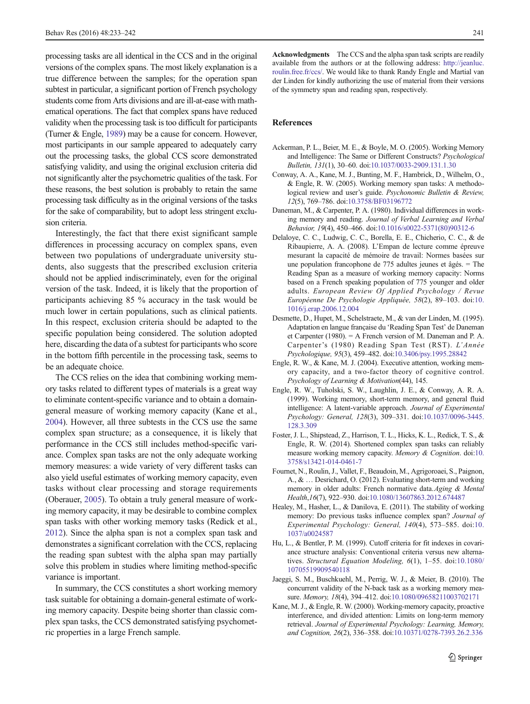<span id="page-8-0"></span>processing tasks are all identical in the CCS and in the original versions of the complex spans. The most likely explanation is a true difference between the samples; for the operation span subtest in particular, a significant portion of French psychology students come from Arts divisions and are ill-at-ease with mathematical operations. The fact that complex spans have reduced validity when the processing task is too difficult for participants (Turner & Engle, [1989\)](#page-9-0) may be a cause for concern. However, most participants in our sample appeared to adequately carry out the processing tasks, the global CCS score demonstrated satisfying validity, and using the original exclusion criteria did not significantly alter the psychometric qualities of the task. For these reasons, the best solution is probably to retain the same processing task difficulty as in the original versions of the tasks for the sake of comparability, but to adopt less stringent exclusion criteria.

Interestingly, the fact that there exist significant sample differences in processing accuracy on complex spans, even between two populations of undergraduate university students, also suggests that the prescribed exclusion criteria should not be applied indiscriminately, even for the original version of the task. Indeed, it is likely that the proportion of participants achieving 85 % accuracy in the task would be much lower in certain populations, such as clinical patients. In this respect, exclusion criteria should be adapted to the specific population being considered. The solution adopted here, discarding the data of a subtest for participants who score in the bottom fifth percentile in the processing task, seems to be an adequate choice.

The CCS relies on the idea that combining working memory tasks related to different types of materials is a great way to eliminate content-specific variance and to obtain a domaingeneral measure of working memory capacity (Kane et al., [2004\)](#page-9-0). However, all three subtests in the CCS use the same complex span structure; as a consequence, it is likely that performance in the CCS still includes method-specific variance. Complex span tasks are not the only adequate working memory measures: a wide variety of very different tasks can also yield useful estimates of working memory capacity, even tasks without clear processing and storage requirements (Oberauer, [2005](#page-9-0)). To obtain a truly general measure of working memory capacity, it may be desirable to combine complex span tasks with other working memory tasks (Redick et al., [2012\)](#page-9-0). Since the alpha span is not a complex span task and demonstrates a significant correlation with the CCS, replacing the reading span subtest with the alpha span may partially solve this problem in studies where limiting method-specific variance is important.

In summary, the CCS constitutes a short working memory task suitable for obtaining a domain-general estimate of working memory capacity. Despite being shorter than classic complex span tasks, the CCS demonstrated satisfying psychometric properties in a large French sample.

Acknowledgments The CCS and the alpha span task scripts are readily available from the authors or at the following address: [http://jeanluc.](http://jeanluc.roulin.free.fr/ccs/) [roulin.free.fr/ccs/](http://jeanluc.roulin.free.fr/ccs/). We would like to thank Randy Engle and Martial van der Linden for kindly authorizing the use of material from their versions of the symmetry span and reading span, respectively.

# References

- Ackerman, P. L., Beier, M. E., & Boyle, M. O. (2005). Working Memory and Intelligence: The Same or Different Constructs? Psychological Bulletin, 131(1), 30–60. doi:[10.1037/0033-2909.131.1.30](http://dx.doi.org/10.1037/0033-2909.131.1.30)
- Conway, A. A., Kane, M. J., Bunting, M. F., Hambrick, D., Wilhelm, O., & Engle, R. W. (2005). Working memory span tasks: A methodological review and user's guide. Psychonomic Bulletin & Review, 12(5), 769–786. doi[:10.3758/BF03196772](http://dx.doi.org/10.3758/BF03196772)
- Daneman, M., & Carpenter, P. A. (1980). Individual differences in working memory and reading. Journal of Verbal Learning and Verbal Behavior, 19(4), 450–466. doi[:10.1016/s0022-5371\(80\)90312-6](http://dx.doi.org/10.1016/s0022-5371(80)90312-6)
- Delaloye, C. C., Ludwig, C. C., Borella, E. E., Chicherio, C. C., & de Ribaupierre, A. A. (2008). L'Empan de lecture comme épreuve mesurant la capacité de mémoire de travail: Normes basées sur une population francophone de 775 adultes jeunes et âgés. = The Reading Span as a measure of working memory capacity: Norms based on a French speaking population of 775 younger and older adults. European Review Of Applied Psychology / Revue Européenne De Psychologie Appliquée, 58(2), 89–103. doi:[10.](http://dx.doi.org/10.1016/j.erap.2006.12.004) [1016/j.erap.2006.12.004](http://dx.doi.org/10.1016/j.erap.2006.12.004)
- Desmette, D., Hupet, M., Schelstraete, M., & van der Linden, M. (1995). Adaptation en langue française du 'Reading Span Test' de Daneman et Carpenter (1980). = A French version of M. Daneman and P. A. Carpenter's (1980) Reading Span Test (RST). L'Année Psychologique, 95(3), 459–482. doi[:10.3406/psy.1995.28842](http://dx.doi.org/10.3406/psy.1995.28842)
- Engle, R. W., & Kane, M. J. (2004). Executive attention, working memory capacity, and a two-factor theory of cognitive control. Psychology of Learning & Motivation(44), 145.
- Engle, R. W., Tuholski, S. W., Laughlin, J. E., & Conway, A. R. A. (1999). Working memory, short-term memory, and general fluid intelligence: A latent-variable approach. Journal of Experimental Psychology: General, 128(3), 309–331. doi:[10.1037/0096-3445.](http://dx.doi.org/10.1037/0096-3445.128.3.309) [128.3.309](http://dx.doi.org/10.1037/0096-3445.128.3.309)
- Foster, J. L., Shipstead, Z., Harrison, T. L., Hicks, K. L., Redick, T. S., & Engle, R. W. (2014). Shortened complex span tasks can reliably measure working memory capacity. Memory & Cognition. doi[:10.](http://dx.doi.org/10.3758/s13421-014-0461-7) [3758/s13421-014-0461-7](http://dx.doi.org/10.3758/s13421-014-0461-7)
- Fournet, N., Roulin, J., Vallet, F., Beaudoin, M., Agrigoroaei, S., Paignon, A., & … Desrichard, O. (2012). Evaluating short-term and working memory in older adults: French normative data.Aging & Mental Health,16(7), 922–930. doi[:10.1080/13607863.2012.674487](http://dx.doi.org/10.1080/13607863.2012.674487)
- Healey, M., Hasher, L., & Danilova, E. (2011). The stability of working memory: Do previous tasks influence complex span? Journal of Experimental Psychology: General, 140(4), 573–585. doi[:10.](http://dx.doi.org/10.1037/a0024587) [1037/a0024587](http://dx.doi.org/10.1037/a0024587)
- Hu, L., & Bentler, P. M. (1999). Cutoff criteria for fit indexes in covariance structure analysis: Conventional criteria versus new alternatives. Structural Equation Modeling, 6(1), 1–55. doi:[10.1080/](http://dx.doi.org/10.1080/10705519909540118) [10705519909540118](http://dx.doi.org/10.1080/10705519909540118)
- Jaeggi, S. M., Buschkuehl, M., Perrig, W. J., & Meier, B. (2010). The concurrent validity of the N-back task as a working memory measure. Memory, 18(4), 394–412. doi[:10.1080/09658211003702171](http://dx.doi.org/10.1080/09658211003702171)
- Kane, M. J., & Engle, R. W. (2000). Working-memory capacity, proactive interference, and divided attention: Limits on long-term memory retrieval. Journal of Experimental Psychology: Learning, Memory, and Cognition, 26(2), 336–358. doi:[10.10371/0278-7393.26.2.336](http://dx.doi.org/10.10371/0278-7393.26.2.336)